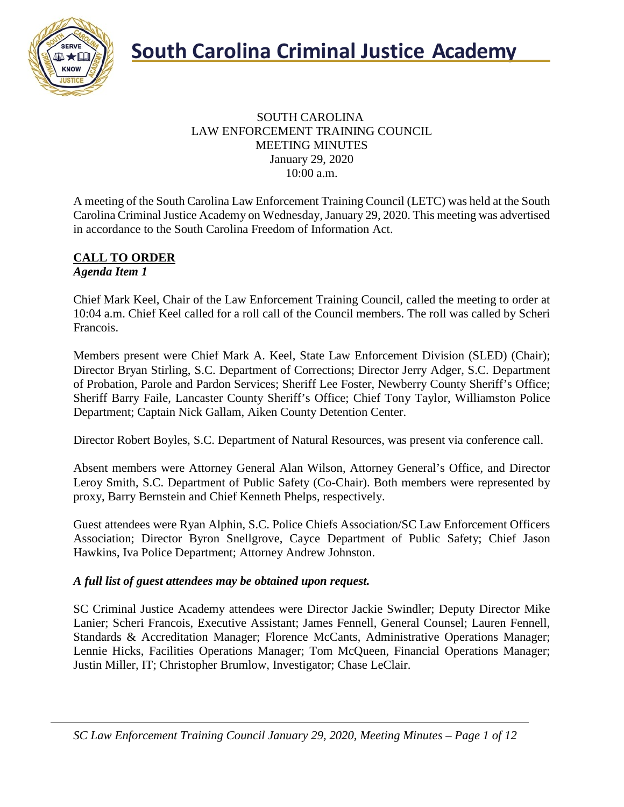

#### SOUTH CAROLINA LAW ENFORCEMENT TRAINING COUNCIL MEETING MINUTES January 29, 2020 10:00 a.m.

A meeting of the South Carolina Law Enforcement Training Council (LETC) was held at the South Carolina Criminal Justice Academy on Wednesday, January 29, 2020. This meeting was advertised in accordance to the South Carolina Freedom of Information Act.

#### **CALL TO ORDER** *Agenda Item 1*

Chief Mark Keel, Chair of the Law Enforcement Training Council, called the meeting to order at 10:04 a.m. Chief Keel called for a roll call of the Council members. The roll was called by Scheri Francois.

Members present were Chief Mark A. Keel, State Law Enforcement Division (SLED) (Chair); Director Bryan Stirling, S.C. Department of Corrections; Director Jerry Adger, S.C. Department of Probation, Parole and Pardon Services; Sheriff Lee Foster, Newberry County Sheriff's Office; Sheriff Barry Faile, Lancaster County Sheriff's Office; Chief Tony Taylor, Williamston Police Department; Captain Nick Gallam, Aiken County Detention Center.

Director Robert Boyles, S.C. Department of Natural Resources, was present via conference call.

Absent members were Attorney General Alan Wilson, Attorney General's Office, and Director Leroy Smith, S.C. Department of Public Safety (Co-Chair). Both members were represented by proxy, Barry Bernstein and Chief Kenneth Phelps, respectively.

Guest attendees were Ryan Alphin, S.C. Police Chiefs Association/SC Law Enforcement Officers Association; Director Byron Snellgrove, Cayce Department of Public Safety; Chief Jason Hawkins, Iva Police Department; Attorney Andrew Johnston.

#### *A full list of guest attendees may be obtained upon request.*

SC Criminal Justice Academy attendees were Director Jackie Swindler; Deputy Director Mike Lanier; Scheri Francois, Executive Assistant; James Fennell, General Counsel; Lauren Fennell, Standards & Accreditation Manager; Florence McCants, Administrative Operations Manager; Lennie Hicks, Facilities Operations Manager; Tom McQueen, Financial Operations Manager; Justin Miller, IT; Christopher Brumlow, Investigator; Chase LeClair.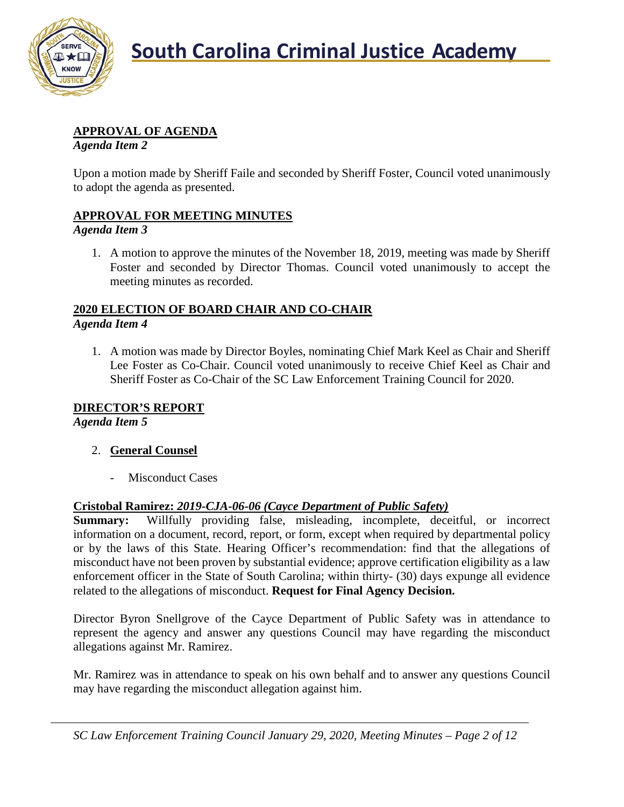

## **South Carolina Criminal Justice Academy**

#### **APPROVAL OF AGENDA**

*Agenda Item 2*

Upon a motion made by Sheriff Faile and seconded by Sheriff Foster, Council voted unanimously to adopt the agenda as presented.

#### **APPROVAL FOR MEETING MINUTES**

#### *Agenda Item 3*

1. A motion to approve the minutes of the November 18, 2019, meeting was made by Sheriff Foster and seconded by Director Thomas. Council voted unanimously to accept the meeting minutes as recorded.

#### **2020 ELECTION OF BOARD CHAIR AND CO-CHAIR** *Agenda Item 4*

1. A motion was made by Director Boyles, nominating Chief Mark Keel as Chair and Sheriff Lee Foster as Co-Chair. Council voted unanimously to receive Chief Keel as Chair and Sheriff Foster as Co-Chair of the SC Law Enforcement Training Council for 2020.

#### **DIRECTOR'S REPORT**

*Agenda Item 5*

#### 2. **General Counsel**

- Misconduct Cases

#### **Cristobal Ramirez:** *2019-CJA-06-06 (Cayce Department of Public Safety)*

**Summary:** Willfully providing false, misleading, incomplete, deceitful, or incorrect information on a document, record, report, or form, except when required by departmental policy or by the laws of this State. Hearing Officer's recommendation: find that the allegations of misconduct have not been proven by substantial evidence; approve certification eligibility as a law enforcement officer in the State of South Carolina; within thirty- (30) days expunge all evidence related to the allegations of misconduct. **Request for Final Agency Decision.**

Director Byron Snellgrove of the Cayce Department of Public Safety was in attendance to represent the agency and answer any questions Council may have regarding the misconduct allegations against Mr. Ramirez.

Mr. Ramirez was in attendance to speak on his own behalf and to answer any questions Council may have regarding the misconduct allegation against him.

*SC Law Enforcement Training Council January 29, 2020, Meeting Minutes – Page 2 of 12*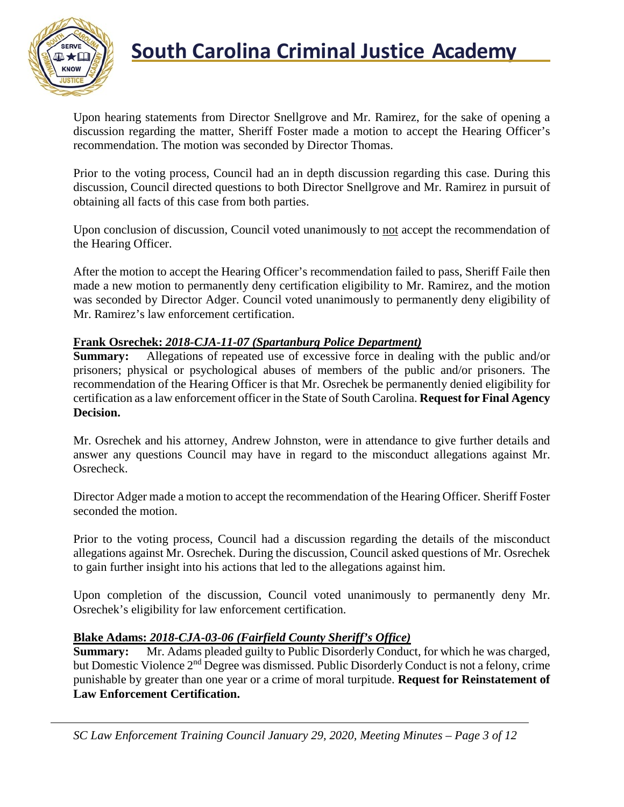

### **South Carolina Criminal Justice Academy**<br>KNOW

Upon hearing statements from Director Snellgrove and Mr. Ramirez, for the sake of opening a discussion regarding the matter, Sheriff Foster made a motion to accept the Hearing Officer's recommendation. The motion was seconded by Director Thomas.

Prior to the voting process, Council had an in depth discussion regarding this case. During this discussion, Council directed questions to both Director Snellgrove and Mr. Ramirez in pursuit of obtaining all facts of this case from both parties.

Upon conclusion of discussion, Council voted unanimously to not accept the recommendation of the Hearing Officer.

After the motion to accept the Hearing Officer's recommendation failed to pass, Sheriff Faile then made a new motion to permanently deny certification eligibility to Mr. Ramirez, and the motion was seconded by Director Adger. Council voted unanimously to permanently deny eligibility of Mr. Ramirez's law enforcement certification.

#### **Frank Osrechek:** *2018-CJA-11-07 (Spartanburg Police Department)*

**Summary:** Allegations of repeated use of excessive force in dealing with the public and/or prisoners; physical or psychological abuses of members of the public and/or prisoners. The recommendation of the Hearing Officer is that Mr. Osrechek be permanently denied eligibility for certification as a law enforcement officer in the State of South Carolina. **Request for Final Agency Decision.**

Mr. Osrechek and his attorney, Andrew Johnston, were in attendance to give further details and answer any questions Council may have in regard to the misconduct allegations against Mr. Osrecheck.

Director Adger made a motion to accept the recommendation of the Hearing Officer. Sheriff Foster seconded the motion.

Prior to the voting process, Council had a discussion regarding the details of the misconduct allegations against Mr. Osrechek. During the discussion, Council asked questions of Mr. Osrechek to gain further insight into his actions that led to the allegations against him.

Upon completion of the discussion, Council voted unanimously to permanently deny Mr. Osrechek's eligibility for law enforcement certification.

#### **Blake Adams:** *2018-CJA-03-06 (Fairfield County Sheriff's Office)*

**Summary:** Mr. Adams pleaded guilty to Public Disorderly Conduct, for which he was charged, but Domestic Violence 2nd Degree was dismissed. Public Disorderly Conduct is not a felony, crime punishable by greater than one year or a crime of moral turpitude. **Request for Reinstatement of Law Enforcement Certification.**

*SC Law Enforcement Training Council January 29, 2020, Meeting Minutes – Page 3 of 12*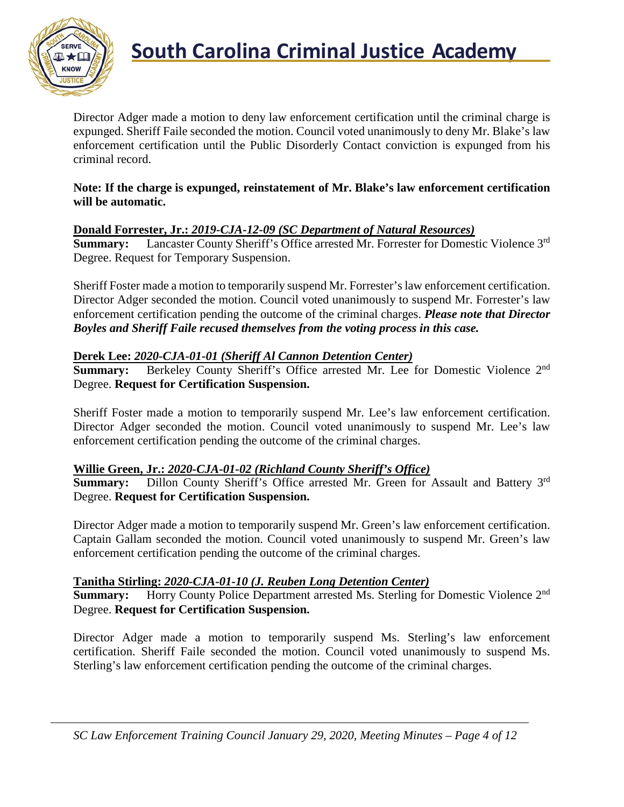

Director Adger made a motion to deny law enforcement certification until the criminal charge is expunged. Sheriff Faile seconded the motion. Council voted unanimously to deny Mr. Blake's law enforcement certification until the Public Disorderly Contact conviction is expunged from his criminal record.

#### **Note: If the charge is expunged, reinstatement of Mr. Blake's law enforcement certification will be automatic.**

#### **Donald Forrester, Jr.:** *2019-CJA-12-09 (SC Department of Natural Resources)*

**Summary:** Lancaster County Sheriff's Office arrested Mr. Forrester for Domestic Violence 3<sup>rd</sup> Degree. Request for Temporary Suspension.

Sheriff Foster made a motion to temporarily suspend Mr. Forrester's law enforcement certification. Director Adger seconded the motion. Council voted unanimously to suspend Mr. Forrester's law enforcement certification pending the outcome of the criminal charges. *Please note that Director Boyles and Sheriff Faile recused themselves from the voting process in this case.*

#### **Derek Lee:** *2020-CJA-01-01 (Sheriff Al Cannon Detention Center)*

**Summary:** Berkeley County Sheriff's Office arrested Mr. Lee for Domestic Violence 2<sup>nd</sup> Degree. **Request for Certification Suspension.**

Sheriff Foster made a motion to temporarily suspend Mr. Lee's law enforcement certification. Director Adger seconded the motion. Council voted unanimously to suspend Mr. Lee's law enforcement certification pending the outcome of the criminal charges.

#### **Willie Green, Jr.:** *2020-CJA-01-02 (Richland County Sheriff's Office)*

**Summary:** Dillon County Sheriff's Office arrested Mr. Green for Assault and Battery 3<sup>rd</sup> Degree. **Request for Certification Suspension.**

Director Adger made a motion to temporarily suspend Mr. Green's law enforcement certification. Captain Gallam seconded the motion. Council voted unanimously to suspend Mr. Green's law enforcement certification pending the outcome of the criminal charges.

#### **Tanitha Stirling:** *2020-CJA-01-10 (J. Reuben Long Detention Center)*

**Summary:** Horry County Police Department arrested Ms. Sterling for Domestic Violence 2<sup>nd</sup> Degree. **Request for Certification Suspension.**

Director Adger made a motion to temporarily suspend Ms. Sterling's law enforcement certification. Sheriff Faile seconded the motion. Council voted unanimously to suspend Ms. Sterling's law enforcement certification pending the outcome of the criminal charges.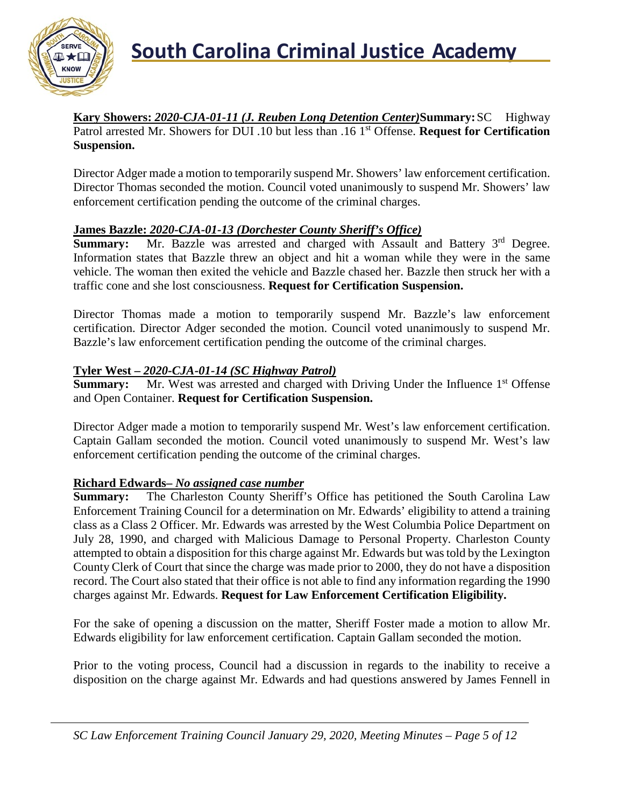

**Kary Showers:** *2020-CJA-01-11 (J. Reuben Long Detention Center)***Summary:**SC Highway Patrol arrested Mr. Showers for DUI .10 but less than .16 1<sup>st</sup> Offense. **Request for Certification Suspension.**

Director Adger made a motion to temporarily suspend Mr. Showers' law enforcement certification. Director Thomas seconded the motion. Council voted unanimously to suspend Mr. Showers' law enforcement certification pending the outcome of the criminal charges.

#### **James Bazzle:** *2020-CJA-01-13 (Dorchester County Sheriff's Office)*

**Summary:** Mr. Bazzle was arrested and charged with Assault and Battery 3<sup>rd</sup> Degree. Information states that Bazzle threw an object and hit a woman while they were in the same vehicle. The woman then exited the vehicle and Bazzle chased her. Bazzle then struck her with a traffic cone and she lost consciousness. **Request for Certification Suspension.**

Director Thomas made a motion to temporarily suspend Mr. Bazzle's law enforcement certification. Director Adger seconded the motion. Council voted unanimously to suspend Mr. Bazzle's law enforcement certification pending the outcome of the criminal charges.

#### **Tyler West –** *2020-CJA-01-14 (SC Highway Patrol)*

**Summary:** Mr. West was arrested and charged with Driving Under the Influence 1<sup>st</sup> Offense and Open Container. **Request for Certification Suspension.**

Director Adger made a motion to temporarily suspend Mr. West's law enforcement certification. Captain Gallam seconded the motion. Council voted unanimously to suspend Mr. West's law enforcement certification pending the outcome of the criminal charges.

#### **Richard Edwards–** *No assigned case number*

**Summary:** The Charleston County Sheriff's Office has petitioned the South Carolina Law Enforcement Training Council for a determination on Mr. Edwards' eligibility to attend a training class as a Class 2 Officer. Mr. Edwards was arrested by the West Columbia Police Department on July 28, 1990, and charged with Malicious Damage to Personal Property. Charleston County attempted to obtain a disposition for this charge against Mr. Edwards but was told by the Lexington County Clerk of Court that since the charge was made prior to 2000, they do not have a disposition record. The Court also stated that their office is not able to find any information regarding the 1990 charges against Mr. Edwards. **Request for Law Enforcement Certification Eligibility.**

For the sake of opening a discussion on the matter, Sheriff Foster made a motion to allow Mr. Edwards eligibility for law enforcement certification. Captain Gallam seconded the motion.

Prior to the voting process, Council had a discussion in regards to the inability to receive a disposition on the charge against Mr. Edwards and had questions answered by James Fennell in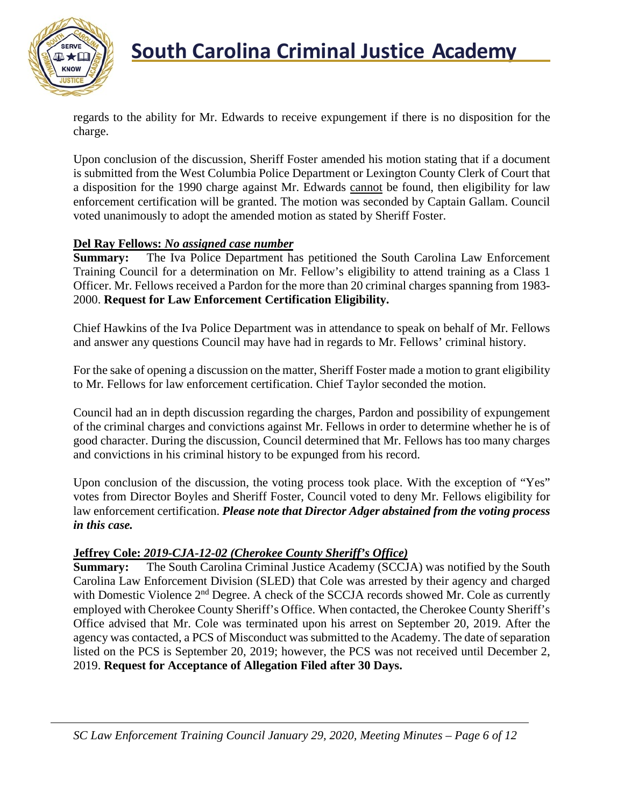

### **South Carolina Criminal Justice Academy**<br>KNOW

regards to the ability for Mr. Edwards to receive expungement if there is no disposition for the charge.

Upon conclusion of the discussion, Sheriff Foster amended his motion stating that if a document is submitted from the West Columbia Police Department or Lexington County Clerk of Court that a disposition for the 1990 charge against Mr. Edwards cannot be found, then eligibility for law enforcement certification will be granted. The motion was seconded by Captain Gallam. Council voted unanimously to adopt the amended motion as stated by Sheriff Foster.

#### **Del Ray Fellows:** *No assigned case number*

**Summary:** The Iva Police Department has petitioned the South Carolina Law Enforcement Training Council for a determination on Mr. Fellow's eligibility to attend training as a Class 1 Officer. Mr. Fellows received a Pardon for the more than 20 criminal charges spanning from 1983- 2000. **Request for Law Enforcement Certification Eligibility.**

Chief Hawkins of the Iva Police Department was in attendance to speak on behalf of Mr. Fellows and answer any questions Council may have had in regards to Mr. Fellows' criminal history.

For the sake of opening a discussion on the matter, Sheriff Foster made a motion to grant eligibility to Mr. Fellows for law enforcement certification. Chief Taylor seconded the motion.

Council had an in depth discussion regarding the charges, Pardon and possibility of expungement of the criminal charges and convictions against Mr. Fellows in order to determine whether he is of good character. During the discussion, Council determined that Mr. Fellows has too many charges and convictions in his criminal history to be expunged from his record.

Upon conclusion of the discussion, the voting process took place. With the exception of "Yes" votes from Director Boyles and Sheriff Foster, Council voted to deny Mr. Fellows eligibility for law enforcement certification. *Please note that Director Adger abstained from the voting process in this case.*

### **Jeffrey Cole:** *2019-CJA-12-02 (Cherokee County Sheriff's Office)*

The South Carolina Criminal Justice Academy (SCCJA) was notified by the South Carolina Law Enforcement Division (SLED) that Cole was arrested by their agency and charged with Domestic Violence 2<sup>nd</sup> Degree. A check of the SCCJA records showed Mr. Cole as currently employed with Cherokee County Sheriff's Office. When contacted, the Cherokee County Sheriff's Office advised that Mr. Cole was terminated upon his arrest on September 20, 2019. After the agency was contacted, a PCS of Misconduct was submitted to the Academy. The date of separation listed on the PCS is September 20, 2019; however, the PCS was not received until December 2, 2019. **Request for Acceptance of Allegation Filed after 30 Days.**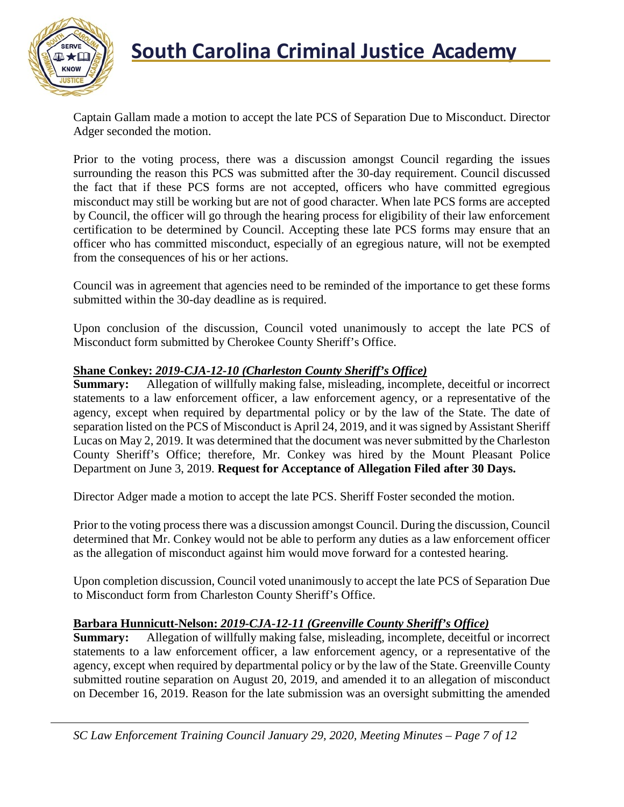

Captain Gallam made a motion to accept the late PCS of Separation Due to Misconduct. Director Adger seconded the motion.

Prior to the voting process, there was a discussion amongst Council regarding the issues surrounding the reason this PCS was submitted after the 30-day requirement. Council discussed the fact that if these PCS forms are not accepted, officers who have committed egregious misconduct may still be working but are not of good character. When late PCS forms are accepted by Council, the officer will go through the hearing process for eligibility of their law enforcement certification to be determined by Council. Accepting these late PCS forms may ensure that an officer who has committed misconduct, especially of an egregious nature, will not be exempted from the consequences of his or her actions.

Council was in agreement that agencies need to be reminded of the importance to get these forms submitted within the 30-day deadline as is required.

Upon conclusion of the discussion, Council voted unanimously to accept the late PCS of Misconduct form submitted by Cherokee County Sheriff's Office.

#### **Shane Conkey:** *2019-CJA-12-10 (Charleston County Sheriff's Office)*

**Summary:** Allegation of willfully making false, misleading, incomplete, deceitful or incorrect statements to a law enforcement officer, a law enforcement agency, or a representative of the agency, except when required by departmental policy or by the law of the State. The date of separation listed on the PCS of Misconduct is April 24, 2019, and it was signed by Assistant Sheriff Lucas on May 2, 2019. It was determined that the document was never submitted by the Charleston County Sheriff's Office; therefore, Mr. Conkey was hired by the Mount Pleasant Police Department on June 3, 2019. **Request for Acceptance of Allegation Filed after 30 Days.**

Director Adger made a motion to accept the late PCS. Sheriff Foster seconded the motion.

Prior to the voting process there was a discussion amongst Council. During the discussion, Council determined that Mr. Conkey would not be able to perform any duties as a law enforcement officer as the allegation of misconduct against him would move forward for a contested hearing.

Upon completion discussion, Council voted unanimously to accept the late PCS of Separation Due to Misconduct form from Charleston County Sheriff's Office.

#### **Barbara Hunnicutt-Nelson:** *2019-CJA-12-11 (Greenville County Sheriff's Office)*

**Summary:** Allegation of willfully making false, misleading, incomplete, deceitful or incorrect statements to a law enforcement officer, a law enforcement agency, or a representative of the agency, except when required by departmental policy or by the law of the State. Greenville County submitted routine separation on August 20, 2019, and amended it to an allegation of misconduct on December 16, 2019. Reason for the late submission was an oversight submitting the amended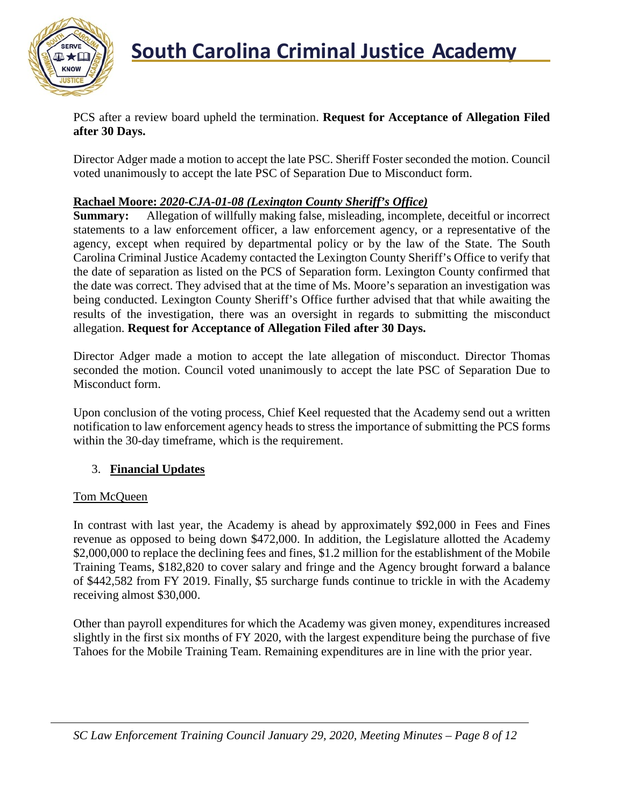

PCS after a review board upheld the termination. **Request for Acceptance of Allegation Filed after 30 Days.**

Director Adger made a motion to accept the late PSC. Sheriff Foster seconded the motion. Council voted unanimously to accept the late PSC of Separation Due to Misconduct form.

#### **Rachael Moore:** *2020-CJA-01-08 (Lexington County Sheriff's Office)*

**Summary:** Allegation of willfully making false, misleading, incomplete, deceitful or incorrect statements to a law enforcement officer, a law enforcement agency, or a representative of the agency, except when required by departmental policy or by the law of the State. The South Carolina Criminal Justice Academy contacted the Lexington County Sheriff's Office to verify that the date of separation as listed on the PCS of Separation form. Lexington County confirmed that the date was correct. They advised that at the time of Ms. Moore's separation an investigation was being conducted. Lexington County Sheriff's Office further advised that that while awaiting the results of the investigation, there was an oversight in regards to submitting the misconduct allegation. **Request for Acceptance of Allegation Filed after 30 Days.**

Director Adger made a motion to accept the late allegation of misconduct. Director Thomas seconded the motion. Council voted unanimously to accept the late PSC of Separation Due to Misconduct form.

Upon conclusion of the voting process, Chief Keel requested that the Academy send out a written notification to law enforcement agency heads to stress the importance of submitting the PCS forms within the 30-day timeframe, which is the requirement.

#### 3. **Financial Updates**

#### Tom McQueen

In contrast with last year, the Academy is ahead by approximately \$92,000 in Fees and Fines revenue as opposed to being down \$472,000. In addition, the Legislature allotted the Academy \$2,000,000 to replace the declining fees and fines, \$1.2 million for the establishment of the Mobile Training Teams, \$182,820 to cover salary and fringe and the Agency brought forward a balance of \$442,582 from FY 2019. Finally, \$5 surcharge funds continue to trickle in with the Academy receiving almost \$30,000.

Other than payroll expenditures for which the Academy was given money, expenditures increased slightly in the first six months of FY 2020, with the largest expenditure being the purchase of five Tahoes for the Mobile Training Team. Remaining expenditures are in line with the prior year.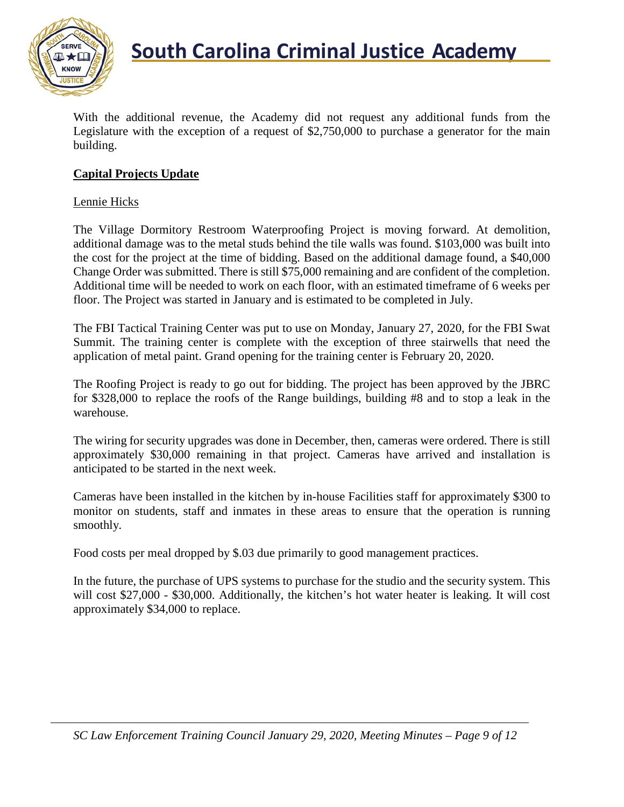

With the additional revenue, the Academy did not request any additional funds from the Legislature with the exception of a request of \$2,750,000 to purchase a generator for the main building.

#### **Capital Projects Update**

#### Lennie Hicks

The Village Dormitory Restroom Waterproofing Project is moving forward. At demolition, additional damage was to the metal studs behind the tile walls was found. \$103,000 was built into the cost for the project at the time of bidding. Based on the additional damage found, a \$40,000 Change Order was submitted. There is still \$75,000 remaining and are confident of the completion. Additional time will be needed to work on each floor, with an estimated timeframe of 6 weeks per floor. The Project was started in January and is estimated to be completed in July.

The FBI Tactical Training Center was put to use on Monday, January 27, 2020, for the FBI Swat Summit. The training center is complete with the exception of three stairwells that need the application of metal paint. Grand opening for the training center is February 20, 2020.

The Roofing Project is ready to go out for bidding. The project has been approved by the JBRC for \$328,000 to replace the roofs of the Range buildings, building #8 and to stop a leak in the warehouse.

The wiring for security upgrades was done in December, then, cameras were ordered. There is still approximately \$30,000 remaining in that project. Cameras have arrived and installation is anticipated to be started in the next week.

Cameras have been installed in the kitchen by in-house Facilities staff for approximately \$300 to monitor on students, staff and inmates in these areas to ensure that the operation is running smoothly.

Food costs per meal dropped by \$.03 due primarily to good management practices.

In the future, the purchase of UPS systems to purchase for the studio and the security system. This will cost \$27,000 - \$30,000. Additionally, the kitchen's hot water heater is leaking. It will cost approximately \$34,000 to replace.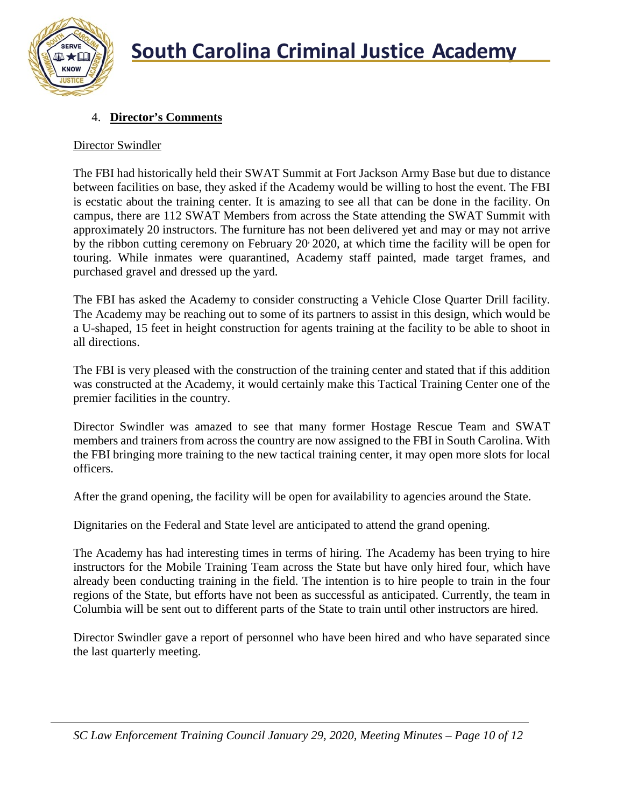

#### 4. **Director's Comments**

#### Director Swindler

The FBI had historically held their SWAT Summit at Fort Jackson Army Base but due to distance between facilities on base, they asked if the Academy would be willing to host the event. The FBI is ecstatic about the training center. It is amazing to see all that can be done in the facility. On campus, there are 112 SWAT Members from across the State attending the SWAT Summit with approximately 20 instructors. The furniture has not been delivered yet and may or may not arrive by the ribbon cutting ceremony on February 20 2020, at which time the facility will be open for touring. While inmates were quarantined, Academy staff painted, made target frames, and purchased gravel and dressed up the yard.

The FBI has asked the Academy to consider constructing a Vehicle Close Quarter Drill facility. The Academy may be reaching out to some of its partners to assist in this design, which would be a U-shaped, 15 feet in height construction for agents training at the facility to be able to shoot in all directions.

The FBI is very pleased with the construction of the training center and stated that if this addition was constructed at the Academy, it would certainly make this Tactical Training Center one of the premier facilities in the country.

Director Swindler was amazed to see that many former Hostage Rescue Team and SWAT members and trainers from across the country are now assigned to the FBI in South Carolina. With the FBI bringing more training to the new tactical training center, it may open more slots for local officers.

After the grand opening, the facility will be open for availability to agencies around the State.

Dignitaries on the Federal and State level are anticipated to attend the grand opening.

The Academy has had interesting times in terms of hiring. The Academy has been trying to hire instructors for the Mobile Training Team across the State but have only hired four, which have already been conducting training in the field. The intention is to hire people to train in the four regions of the State, but efforts have not been as successful as anticipated. Currently, the team in Columbia will be sent out to different parts of the State to train until other instructors are hired.

Director Swindler gave a report of personnel who have been hired and who have separated since the last quarterly meeting.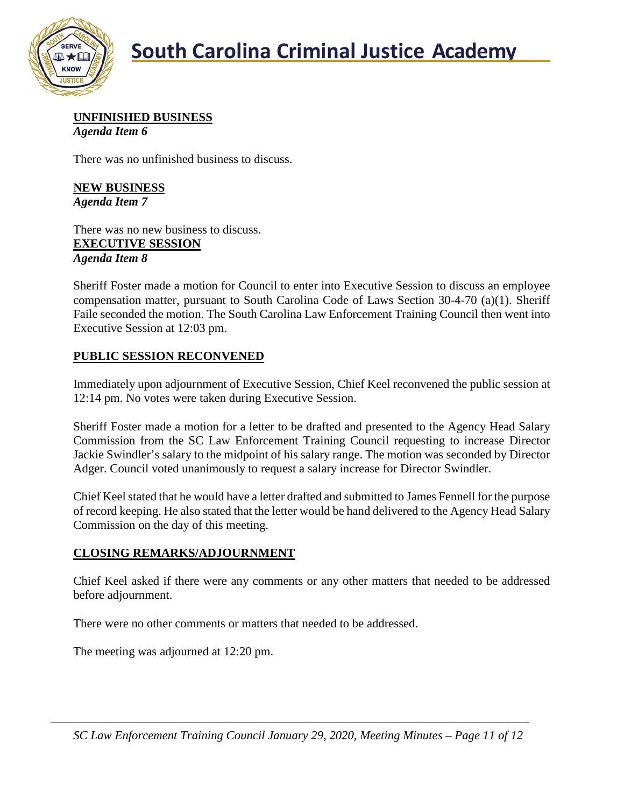

**UNFINISHED BUSINESS** *Agenda Item 6*

There was no unfinished business to discuss.

**NEW BUSINESS** *Agenda Item 7*

There was no new business to discuss. **EXECUTIVE SESSION** *Agenda Item 8*

Sheriff Foster made a motion for Council to enter into Executive Session to discuss an employee compensation matter, pursuant to South Carolina Code of Laws Section 30-4-70 (a)(1). Sheriff Faile seconded the motion. The South Carolina Law Enforcement Training Council then went into Executive Session at 12:03 pm.

#### **PUBLIC SESSION RECONVENED**

Immediately upon adjournment of Executive Session, Chief Keel reconvened the public session at 12:14 pm. No votes were taken during Executive Session.

Sheriff Foster made a motion for a letter to be drafted and presented to the Agency Head Salary Commission from the SC Law Enforcement Training Council requesting to increase Director Jackie Swindler's salary to the midpoint of his salary range. The motion was seconded by Director Adger. Council voted unanimously to request a salary increase for Director Swindler.

Chief Keel stated that he would have a letter drafted and submitted to James Fennell for the purpose of record keeping. He also stated that the letter would be hand delivered to the Agency Head Salary Commission on the day of this meeting.

#### **CLOSING REMARKS/ADJOURNMENT**

Chief Keel asked if there were any comments or any other matters that needed to be addressed before adjournment.

There were no other comments or matters that needed to be addressed.

The meeting was adjourned at 12:20 pm.